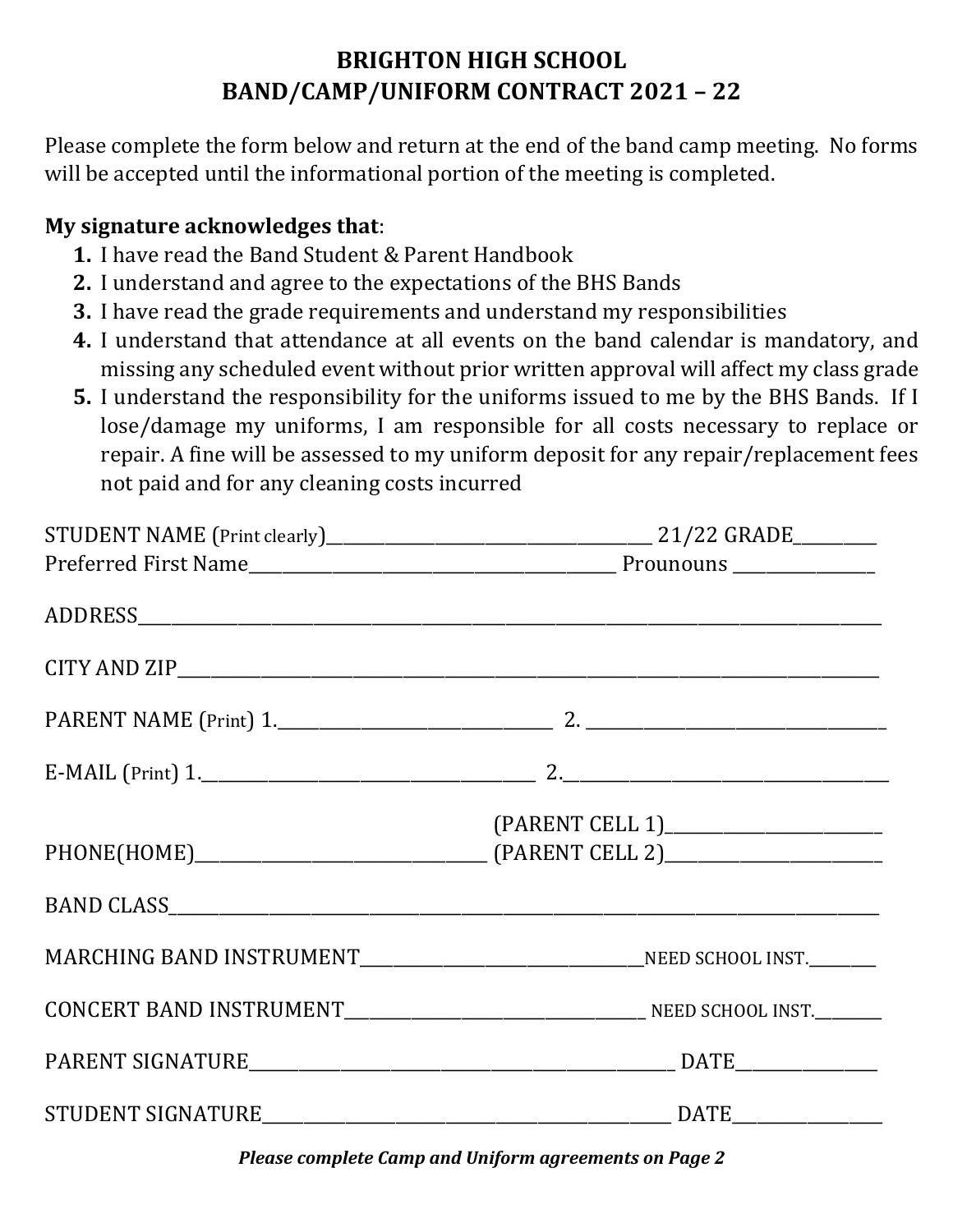## **BRIGHTON HIGH SCHOOL BAND/CAMP/UNIFORM CONTRACT 2021 – 22**

Please complete the form below and return at the end of the band camp meeting. No forms will be accepted until the informational portion of the meeting is completed.

#### **My signature acknowledges that**:

- **1.** I have read the Band Student & Parent Handbook
- **2.** I understand and agree to the expectations of the BHS Bands
- **3.** I have read the grade requirements and understand my responsibilities
- **4.** I understand that attendance at all events on the band calendar is mandatory, and missing any scheduled event without prior written approval will affect my class grade
- **5.** I understand the responsibility for the uniforms issued to me by the BHS Bands. If I lose/damage my uniforms, I am responsible for all costs necessary to replace or repair. A fine will be assessed to my uniform deposit for any repair/replacement fees not paid and for any cleaning costs incurred

| BAND CLASS SAN AND CLASS AND CLASS AND CLASS AND CLASS AND CLASS AND ALL AND ALL AND ALL AND ALL AND ALL AND A |
|----------------------------------------------------------------------------------------------------------------|
|                                                                                                                |
|                                                                                                                |
|                                                                                                                |
|                                                                                                                |

*Please complete Camp and Uniform agreements on Page 2*